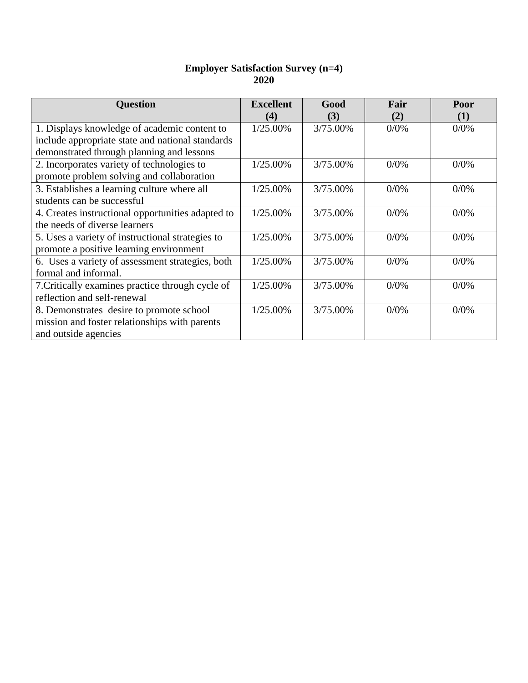## **Employer Satisfaction Survey (n=4) 2020**

| <b>Question</b>                                   | <b>Excellent</b><br>(4) | Good<br>(3) | Fair<br>(2) | Poor<br>(1) |
|---------------------------------------------------|-------------------------|-------------|-------------|-------------|
| 1. Displays knowledge of academic content to      | 1/25.00%                | 3/75.00%    | 0/0%        | 0/0%        |
| include appropriate state and national standards  |                         |             |             |             |
| demonstrated through planning and lessons         |                         |             |             |             |
| 2. Incorporates variety of technologies to        | 1/25.00%                | 3/75.00%    | 0/0%        | 0/0%        |
| promote problem solving and collaboration         |                         |             |             |             |
| 3. Establishes a learning culture where all       | 1/25.00%                | 3/75.00%    | 0/0%        | 0/0%        |
| students can be successful                        |                         |             |             |             |
| 4. Creates instructional opportunities adapted to | 1/25.00%                | 3/75.00%    | 0/0%        | 0/0%        |
| the needs of diverse learners                     |                         |             |             |             |
| 5. Uses a variety of instructional strategies to  | 1/25.00%                | 3/75.00%    | 0/0%        | 0/0%        |
| promote a positive learning environment           |                         |             |             |             |
| 6. Uses a variety of assessment strategies, both  | 1/25.00%                | 3/75.00%    | 0/0%        | 0/0%        |
| formal and informal.                              |                         |             |             |             |
| 7. Critically examines practice through cycle of  | 1/25.00%                | 3/75.00%    | 0/0%        | 0/0%        |
| reflection and self-renewal                       |                         |             |             |             |
| 8. Demonstrates desire to promote school          | 1/25.00%                | 3/75.00%    | 0/0%        | 0/0%        |
| mission and foster relationships with parents     |                         |             |             |             |
| and outside agencies                              |                         |             |             |             |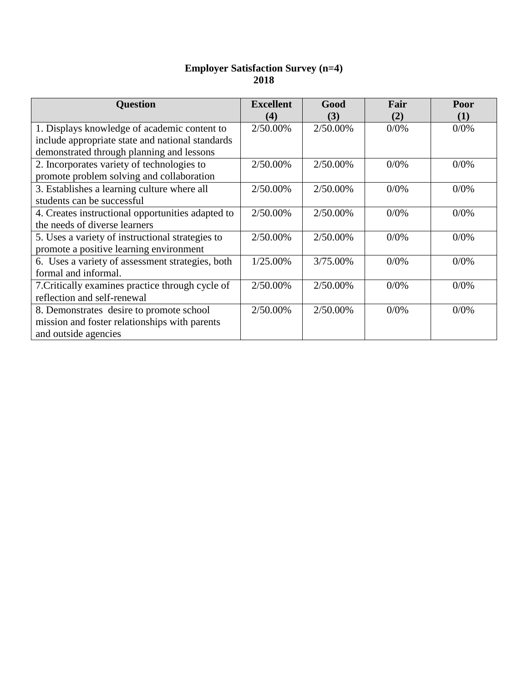## **Employer Satisfaction Survey (n=4) 2018**

| <b>Question</b>                                   | <b>Excellent</b><br>(4) | Good<br>(3) | Fair<br>(2) | Poor<br>(1) |
|---------------------------------------------------|-------------------------|-------------|-------------|-------------|
| 1. Displays knowledge of academic content to      | 2/50.00%                | 2/50.00%    | 0/0%        | 0/0%        |
| include appropriate state and national standards  |                         |             |             |             |
| demonstrated through planning and lessons         |                         |             |             |             |
| 2. Incorporates variety of technologies to        | 2/50.00%                | 2/50.00%    | 0/0%        | 0/0%        |
| promote problem solving and collaboration         |                         |             |             |             |
| 3. Establishes a learning culture where all       | 2/50.00%                | 2/50.00%    | $0/0\%$     | 0/0%        |
| students can be successful                        |                         |             |             |             |
| 4. Creates instructional opportunities adapted to | 2/50.00%                | 2/50.00%    | 0/0%        | 0/0%        |
| the needs of diverse learners                     |                         |             |             |             |
| 5. Uses a variety of instructional strategies to  | 2/50.00%                | 2/50.00%    | 0/0%        | 0/0%        |
| promote a positive learning environment           |                         |             |             |             |
| 6. Uses a variety of assessment strategies, both  | 1/25.00%                | 3/75.00%    | 0/0%        | 0/0%        |
| formal and informal.                              |                         |             |             |             |
| 7. Critically examines practice through cycle of  | 2/50.00%                | 2/50.00%    | 0/0%        | 0/0%        |
| reflection and self-renewal                       |                         |             |             |             |
| 8. Demonstrates desire to promote school          | 2/50.00%                | 2/50.00%    | 0/0%        | 0/0%        |
| mission and foster relationships with parents     |                         |             |             |             |
| and outside agencies                              |                         |             |             |             |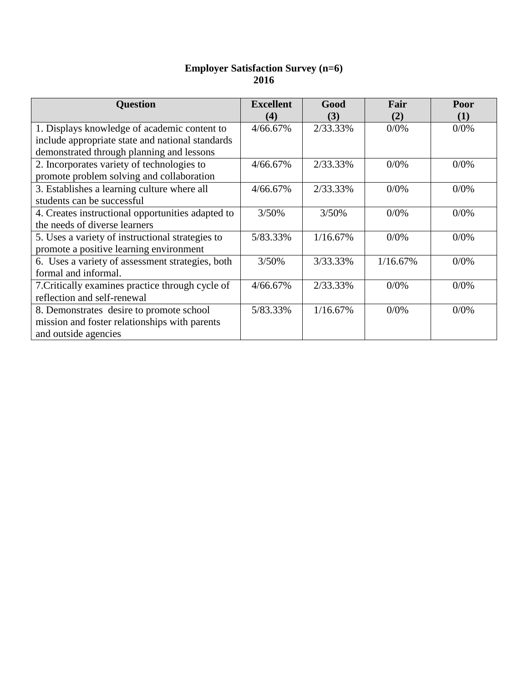## **Employer Satisfaction Survey (n=6) 2016**

| <b>Question</b>                                   | <b>Excellent</b><br>(4) | Good<br>(3) | Fair<br>(2) | Poor<br>(1) |
|---------------------------------------------------|-------------------------|-------------|-------------|-------------|
| 1. Displays knowledge of academic content to      | 4/66.67%                | 2/33.33%    | 0/0%        | 0/0%        |
| include appropriate state and national standards  |                         |             |             |             |
| demonstrated through planning and lessons         |                         |             |             |             |
| 2. Incorporates variety of technologies to        | 4/66.67%                | 2/33.33%    | 0/0%        | 0/0%        |
| promote problem solving and collaboration         |                         |             |             |             |
| 3. Establishes a learning culture where all       | 4/66.67%                | 2/33.33%    | 0/0%        | 0/0%        |
| students can be successful                        |                         |             |             |             |
| 4. Creates instructional opportunities adapted to | 3/50%                   | 3/50%       | 0/0%        | 0/0%        |
| the needs of diverse learners                     |                         |             |             |             |
| 5. Uses a variety of instructional strategies to  | 5/83.33%                | 1/16.67%    | 0/0%        | 0/0%        |
| promote a positive learning environment           |                         |             |             |             |
| 6. Uses a variety of assessment strategies, both  | 3/50%                   | 3/33.33%    | 1/16.67%    | 0/0%        |
| formal and informal.                              |                         |             |             |             |
| 7. Critically examines practice through cycle of  | 4/66.67%                | 2/33.33%    | 0/0%        | 0/0%        |
| reflection and self-renewal                       |                         |             |             |             |
| 8. Demonstrates desire to promote school          | 5/83.33%                | 1/16.67%    | 0/0%        | 0/0%        |
| mission and foster relationships with parents     |                         |             |             |             |
| and outside agencies                              |                         |             |             |             |